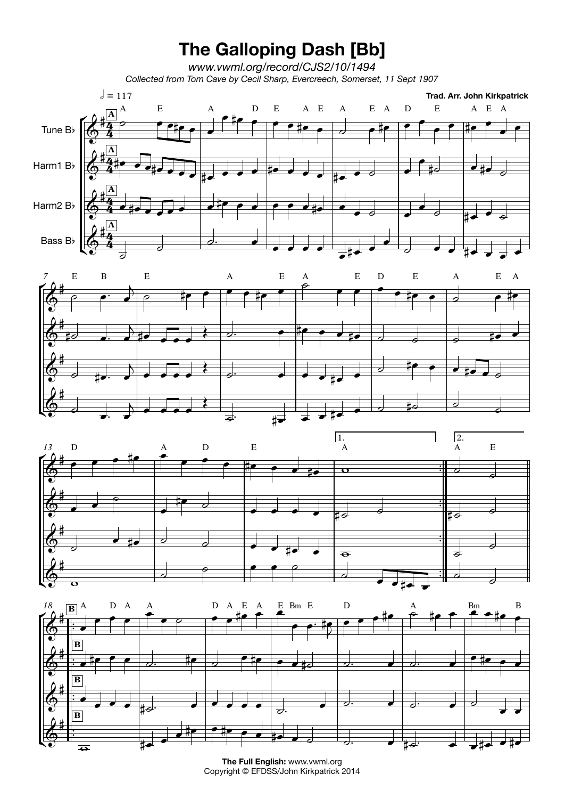## **The Galloping Dash [Bb]**

*www.vwml.org/record/CJS2/10/1494 Collected from Tom Cave by Cecil Sharp, Evercreech, Somerset, 11 Sept 1907*









**The Full English:** www.vwml.org Copyright © EFDSS/John Kirkpatrick 2014